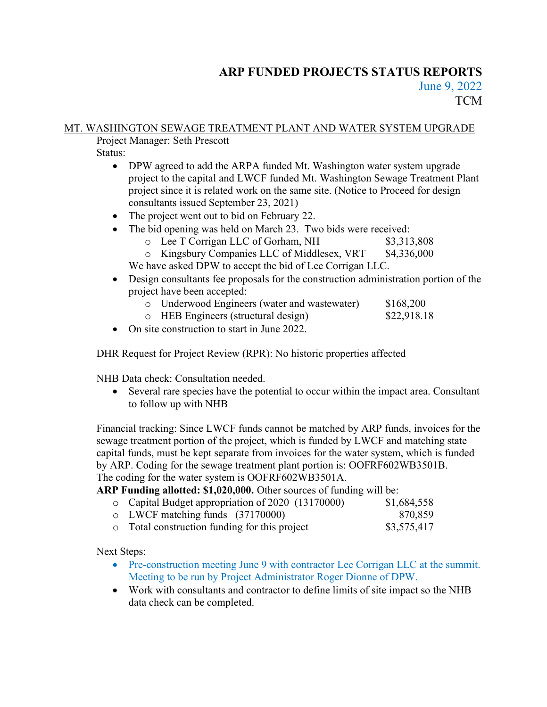# ARP FUNDED PROJECTS STATUS REPORTS June 9, 2022 **TCM**

## MT. WASHINGTON SEWAGE TREATMENT PLANT AND WATER SYSTEM UPGRADE

Project Manager: Seth Prescott

Status:

- DPW agreed to add the ARPA funded Mt. Washington water system upgrade project to the capital and LWCF funded Mt. Washington Sewage Treatment Plant project since it is related work on the same site. (Notice to Proceed for design consultants issued September 23, 2021)
- The project went out to bid on February 22.
- The bid opening was held on March 23. Two bids were received:
	- o Lee T Corrigan LLC of Gorham, NH \$3,313,808
	- o Kingsbury Companies LLC of Middlesex, VRT \$4,336,000

We have asked DPW to accept the bid of Lee Corrigan LLC.

- Design consultants fee proposals for the construction administration portion of the project have been accepted:
	- o Underwood Engineers (water and wastewater) \$168,200<br>
	o HEB Engineers (structural design) \$22.918.18
	- $\circ$  HEB Engineers (structural design)
- On site construction to start in June 2022.

DHR Request for Project Review (RPR): No historic properties affected

NHB Data check: Consultation needed.

 Several rare species have the potential to occur within the impact area. Consultant to follow up with NHB

Financial tracking: Since LWCF funds cannot be matched by ARP funds, invoices for the sewage treatment portion of the project, which is funded by LWCF and matching state capital funds, must be kept separate from invoices for the water system, which is funded by ARP. Coding for the sewage treatment plant portion is: OOFRF602WB3501B. The coding for the water system is OOFRF602WB3501A.

## ARP Funding allotted: \$1,020,000. Other sources of funding will be:

| o Capital Budget appropriation of 2020 (13170000) | \$1,684,558 |
|---------------------------------------------------|-------------|
| $\circ$ LWCF matching funds (37170000)            | 870,859     |
| • Total construction funding for this project     | \$3,575,417 |

Next Steps:

- Pre-construction meeting June 9 with contractor Lee Corrigan LLC at the summit. Meeting to be run by Project Administrator Roger Dionne of DPW.
- Work with consultants and contractor to define limits of site impact so the NHB data check can be completed.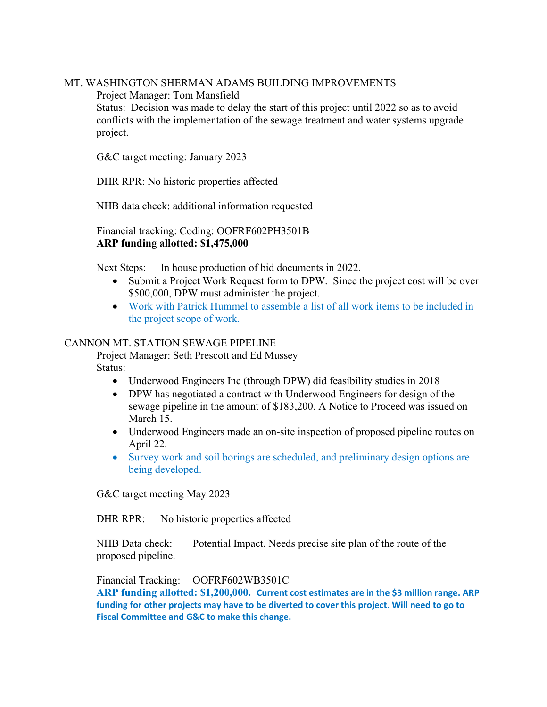### MT. WASHINGTON SHERMAN ADAMS BUILDING IMPROVEMENTS

Project Manager: Tom Mansfield

Status: Decision was made to delay the start of this project until 2022 so as to avoid conflicts with the implementation of the sewage treatment and water systems upgrade project.

G&C target meeting: January 2023

DHR RPR: No historic properties affected

NHB data check: additional information requested

 Financial tracking: Coding: OOFRF602PH3501B ARP funding allotted: \$1,475,000

Next Steps: In house production of bid documents in 2022.

- Submit a Project Work Request form to DPW. Since the project cost will be over \$500,000, DPW must administer the project.
- Work with Patrick Hummel to assemble a list of all work items to be included in the project scope of work.

#### CANNON MT. STATION SEWAGE PIPELINE

 Project Manager: Seth Prescott and Ed Mussey Status:

- Underwood Engineers Inc (through DPW) did feasibility studies in 2018
- DPW has negotiated a contract with Underwood Engineers for design of the sewage pipeline in the amount of \$183,200. A Notice to Proceed was issued on March 15.
- Underwood Engineers made an on-site inspection of proposed pipeline routes on April 22.
- Survey work and soil borings are scheduled, and preliminary design options are being developed.

G&C target meeting May 2023

DHR RPR: No historic properties affected

NHB Data check: Potential Impact. Needs precise site plan of the route of the proposed pipeline.

Financial Tracking: OOFRF602WB3501C

ARP funding allotted: \$1,200,000. Current cost estimates are in the \$3 million range. ARP funding for other projects may have to be diverted to cover this project. Will need to go to Fiscal Committee and G&C to make this change.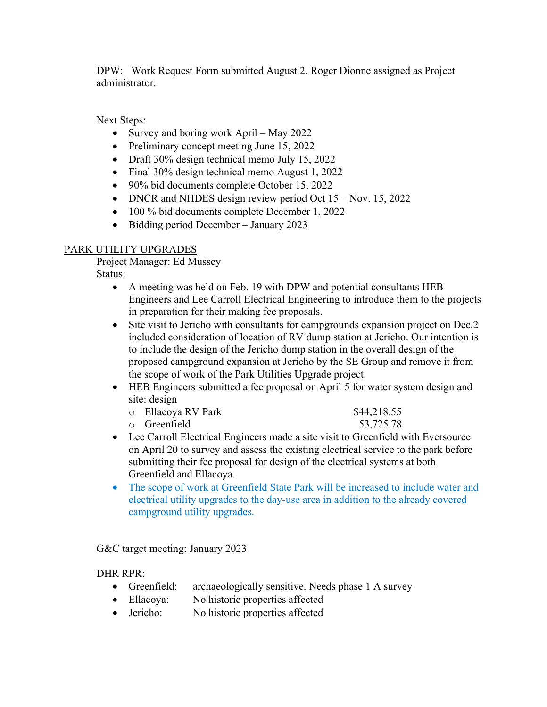DPW: Work Request Form submitted August 2. Roger Dionne assigned as Project administrator.

Next Steps:

- Survey and boring work April May 2022
- Preliminary concept meeting June 15, 2022
- Draft 30% design technical memo July 15, 2022
- Final 30% design technical memo August 1, 2022
- 90% bid documents complete October 15, 2022
- DNCR and NHDES design review period Oct  $15 \text{Nov. } 15$ , 2022
- 100 % bid documents complete December 1, 2022
- Bidding period December January 2023

## PARK UTILITY UPGRADES

Project Manager: Ed Mussey

Status:

- A meeting was held on Feb. 19 with DPW and potential consultants HEB Engineers and Lee Carroll Electrical Engineering to introduce them to the projects in preparation for their making fee proposals.
- Site visit to Jericho with consultants for campgrounds expansion project on Dec.2 included consideration of location of RV dump station at Jericho. Our intention is to include the design of the Jericho dump station in the overall design of the proposed campground expansion at Jericho by the SE Group and remove it from the scope of work of the Park Utilities Upgrade project.
- HEB Engineers submitted a fee proposal on April 5 for water system design and site: design

| $\circ$ Ellacoya RV Park | \$44,218.55 |
|--------------------------|-------------|
| o Greenfield             | 53,725.78   |

- Lee Carroll Electrical Engineers made a site visit to Greenfield with Eversource on April 20 to survey and assess the existing electrical service to the park before submitting their fee proposal for design of the electrical systems at both Greenfield and Ellacoya.
- The scope of work at Greenfield State Park will be increased to include water and electrical utility upgrades to the day-use area in addition to the already covered campground utility upgrades.

G&C target meeting: January 2023

## DHR RPR:

- Greenfield: archaeologically sensitive. Needs phase 1 A survey
- Ellacoya: No historic properties affected
- Jericho: No historic properties affected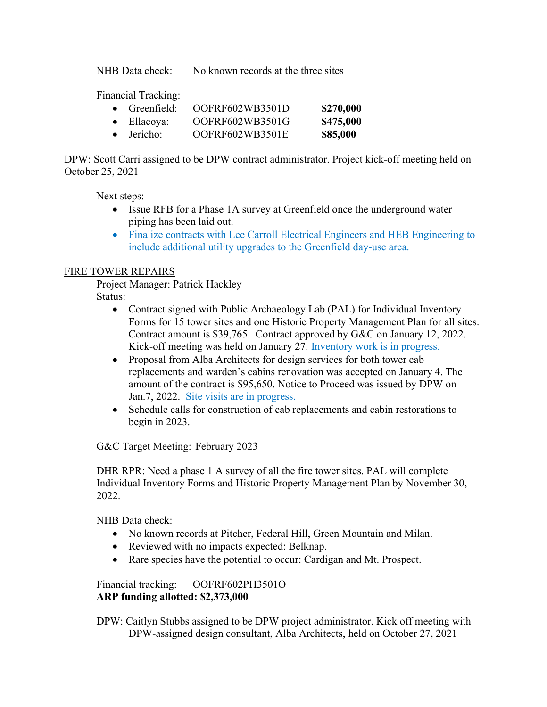NHB Data check: No known records at the three sites

Financial Tracking:

- Greenfield: OOFRF602WB3501D \$270,000
- Ellacoya: OOFRF602WB3501G \$475,000
- Jericho: OOFRF602WB3501E \$85,000

DPW: Scott Carri assigned to be DPW contract administrator. Project kick-off meeting held on October 25, 2021

Next steps:

- Issue RFB for a Phase 1A survey at Greenfield once the underground water piping has been laid out.
- Finalize contracts with Lee Carroll Electrical Engineers and HEB Engineering to include additional utility upgrades to the Greenfield day-use area.

## FIRE TOWER REPAIRS

 Project Manager: Patrick Hackley Status:

- - Contract signed with Public Archaeology Lab (PAL) for Individual Inventory Forms for 15 tower sites and one Historic Property Management Plan for all sites. Contract amount is \$39,765. Contract approved by G&C on January 12, 2022. Kick-off meeting was held on January 27. Inventory work is in progress.
	- Proposal from Alba Architects for design services for both tower cab replacements and warden's cabins renovation was accepted on January 4. The amount of the contract is \$95,650. Notice to Proceed was issued by DPW on Jan.7, 2022. Site visits are in progress.
	- Schedule calls for construction of cab replacements and cabin restorations to begin in 2023.

G&C Target Meeting: February 2023

DHR RPR: Need a phase 1 A survey of all the fire tower sites. PAL will complete Individual Inventory Forms and Historic Property Management Plan by November 30, 2022.

NHB Data check:

- No known records at Pitcher, Federal Hill, Green Mountain and Milan.
- Reviewed with no impacts expected: Belknap.
- Rare species have the potential to occur: Cardigan and Mt. Prospect.

 Financial tracking: OOFRF602PH3501O ARP funding allotted: \$2,373,000

 DPW: Caitlyn Stubbs assigned to be DPW project administrator. Kick off meeting with DPW-assigned design consultant, Alba Architects, held on October 27, 2021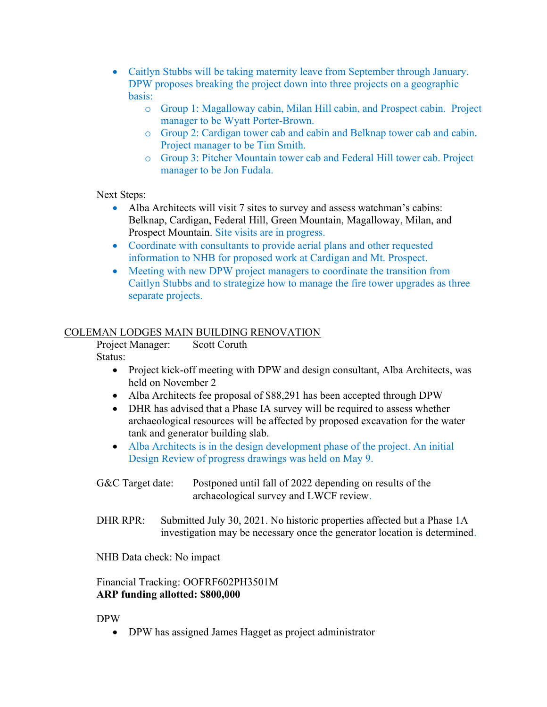- Caitlyn Stubbs will be taking maternity leave from September through January. DPW proposes breaking the project down into three projects on a geographic basis:
	- o Group 1: Magalloway cabin, Milan Hill cabin, and Prospect cabin. Project manager to be Wyatt Porter-Brown.
	- o Group 2: Cardigan tower cab and cabin and Belknap tower cab and cabin. Project manager to be Tim Smith.
	- o Group 3: Pitcher Mountain tower cab and Federal Hill tower cab. Project manager to be Jon Fudala.

Next Steps:

- Alba Architects will visit 7 sites to survey and assess watchman's cabins: Belknap, Cardigan, Federal Hill, Green Mountain, Magalloway, Milan, and Prospect Mountain. Site visits are in progress.
- Coordinate with consultants to provide aerial plans and other requested information to NHB for proposed work at Cardigan and Mt. Prospect.
- Meeting with new DPW project managers to coordinate the transition from Caitlyn Stubbs and to strategize how to manage the fire tower upgrades as three separate projects.

### COLEMAN LODGES MAIN BUILDING RENOVATION

 Project Manager: Scott Coruth Status:

- Project kick-off meeting with DPW and design consultant, Alba Architects, was held on November 2
- Alba Architects fee proposal of \$88,291 has been accepted through DPW
- DHR has advised that a Phase IA survey will be required to assess whether archaeological resources will be affected by proposed excavation for the water tank and generator building slab.
- Alba Architects is in the design development phase of the project. An initial Design Review of progress drawings was held on May 9.
- G&C Target date: Postponed until fall of 2022 depending on results of the archaeological survey and LWCF review.
- DHR RPR: Submitted July 30, 2021. No historic properties affected but a Phase 1A investigation may be necessary once the generator location is determined.

NHB Data check: No impact

### Financial Tracking: OOFRF602PH3501M ARP funding allotted: \$800,000

DPW

• DPW has assigned James Hagget as project administrator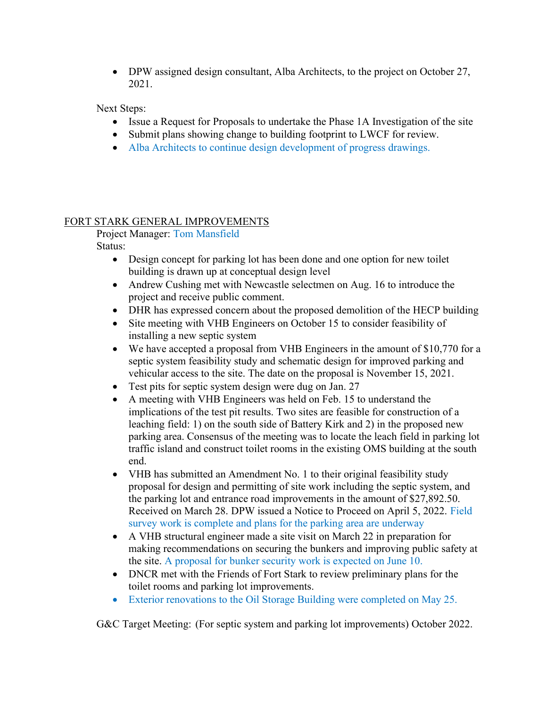• DPW assigned design consultant, Alba Architects, to the project on October 27, 2021.

Next Steps:

- Issue a Request for Proposals to undertake the Phase 1A Investigation of the site
- Submit plans showing change to building footprint to LWCF for review.
- Alba Architects to continue design development of progress drawings.

## FORT STARK GENERAL IMPROVEMENTS

 Project Manager: Tom Mansfield Status:

- Design concept for parking lot has been done and one option for new toilet building is drawn up at conceptual design level
- Andrew Cushing met with Newcastle selectmen on Aug. 16 to introduce the project and receive public comment.
- DHR has expressed concern about the proposed demolition of the HECP building
- Site meeting with VHB Engineers on October 15 to consider feasibility of installing a new septic system
- We have accepted a proposal from VHB Engineers in the amount of \$10,770 for a septic system feasibility study and schematic design for improved parking and vehicular access to the site. The date on the proposal is November 15, 2021.
- Test pits for septic system design were dug on Jan. 27
- A meeting with VHB Engineers was held on Feb. 15 to understand the implications of the test pit results. Two sites are feasible for construction of a leaching field: 1) on the south side of Battery Kirk and 2) in the proposed new parking area. Consensus of the meeting was to locate the leach field in parking lot traffic island and construct toilet rooms in the existing OMS building at the south end.
- VHB has submitted an Amendment No. 1 to their original feasibility study proposal for design and permitting of site work including the septic system, and the parking lot and entrance road improvements in the amount of \$27,892.50. Received on March 28. DPW issued a Notice to Proceed on April 5, 2022. Field survey work is complete and plans for the parking area are underway
- A VHB structural engineer made a site visit on March 22 in preparation for making recommendations on securing the bunkers and improving public safety at the site. A proposal for bunker security work is expected on June 10.
- DNCR met with the Friends of Fort Stark to review preliminary plans for the toilet rooms and parking lot improvements.
- Exterior renovations to the Oil Storage Building were completed on May 25.

G&C Target Meeting: (For septic system and parking lot improvements) October 2022.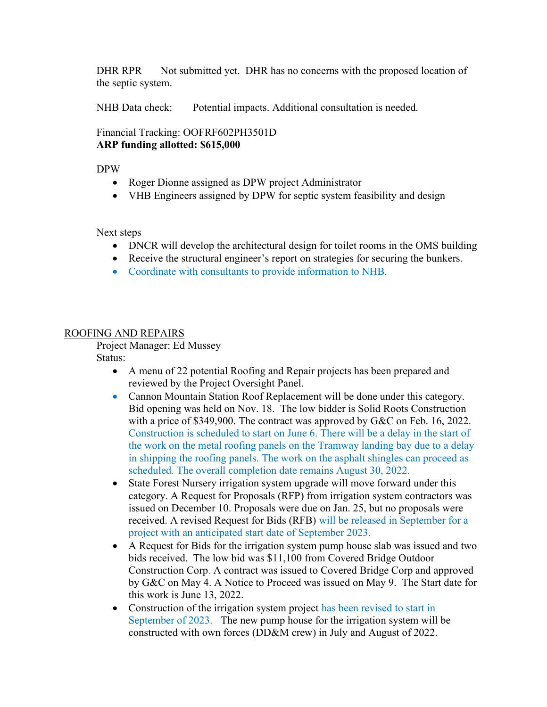DHR RPR Not submitted yet. DHR has no concerns with the proposed location of the septic system.

NHB Data check: Potential impacts. Additional consultation is needed.

Financial Tracking: OOFRF602PH3501D ARP funding allotted: \$615,000

DPW

- Roger Dionne assigned as DPW project Administrator
- VHB Engineers assigned by DPW for septic system feasibility and design

Next steps

- DNCR will develop the architectural design for toilet rooms in the OMS building
- Receive the structural engineer's report on strategies for securing the bunkers.
- Coordinate with consultants to provide information to NHB.

### ROOFING AND REPAIRS

Project Manager: Ed Mussey

Status:

- A menu of 22 potential Roofing and Repair projects has been prepared and reviewed by the Project Oversight Panel.
- Cannon Mountain Station Roof Replacement will be done under this category. Bid opening was held on Nov. 18. The low bidder is Solid Roots Construction with a price of \$349,900. The contract was approved by G&C on Feb. 16, 2022. Construction is scheduled to start on June 6. There will be a delay in the start of the work on the metal roofing panels on the Tramway landing bay due to a delay in shipping the roofing panels. The work on the asphalt shingles can proceed as scheduled. The overall completion date remains August 30, 2022.
- State Forest Nursery irrigation system upgrade will move forward under this category. A Request for Proposals (RFP) from irrigation system contractors was issued on December 10. Proposals were due on Jan. 25, but no proposals were received. A revised Request for Bids (RFB) will be released in September for a project with an anticipated start date of September 2023.
- A Request for Bids for the irrigation system pump house slab was issued and two bids received. The low bid was \$11,100 from Covered Bridge Outdoor Construction Corp. A contract was issued to Covered Bridge Corp and approved by G&C on May 4. A Notice to Proceed was issued on May 9. The Start date for this work is June 13, 2022.
- Construction of the irrigation system project has been revised to start in September of 2023. The new pump house for the irrigation system will be constructed with own forces (DD&M crew) in July and August of 2022.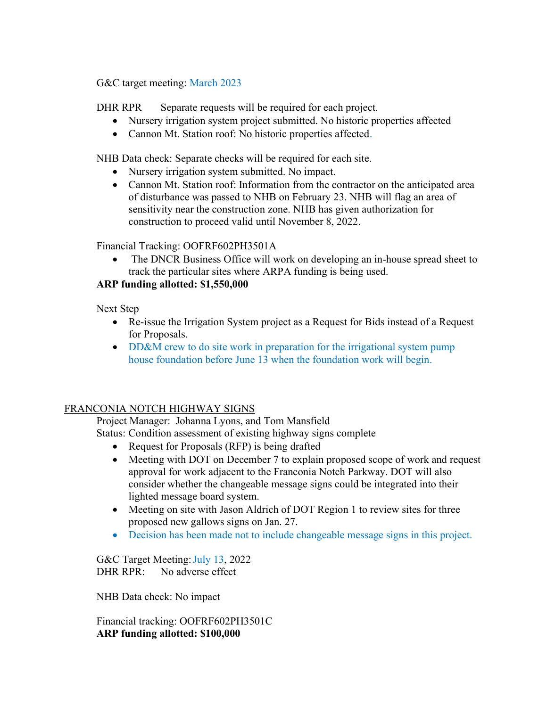G&C target meeting: March 2023

DHR RPR Separate requests will be required for each project.

- Nursery irrigation system project submitted. No historic properties affected
- Cannon Mt. Station roof: No historic properties affected.

NHB Data check: Separate checks will be required for each site.

- Nursery irrigation system submitted. No impact.
- Cannon Mt. Station roof: Information from the contractor on the anticipated area of disturbance was passed to NHB on February 23. NHB will flag an area of sensitivity near the construction zone. NHB has given authorization for construction to proceed valid until November 8, 2022.

Financial Tracking: OOFRF602PH3501A

• The DNCR Business Office will work on developing an in-house spread sheet to track the particular sites where ARPA funding is being used.

## ARP funding allotted: \$1,550,000

Next Step

- Re-issue the Irrigation System project as a Request for Bids instead of a Request for Proposals.
- DD&M crew to do site work in preparation for the irrigational system pump house foundation before June 13 when the foundation work will begin.

## FRANCONIA NOTCH HIGHWAY SIGNS

 Project Manager: Johanna Lyons, and Tom Mansfield Status: Condition assessment of existing highway signs complete

- Request for Proposals (RFP) is being drafted
- Meeting with DOT on December 7 to explain proposed scope of work and request approval for work adjacent to the Franconia Notch Parkway. DOT will also consider whether the changeable message signs could be integrated into their lighted message board system.
- Meeting on site with Jason Aldrich of DOT Region 1 to review sites for three proposed new gallows signs on Jan. 27.
- Decision has been made not to include changeable message signs in this project.

G&C Target Meeting: July 13, 2022 DHR RPR: No adverse effect

NHB Data check: No impact

 Financial tracking: OOFRF602PH3501C ARP funding allotted: \$100,000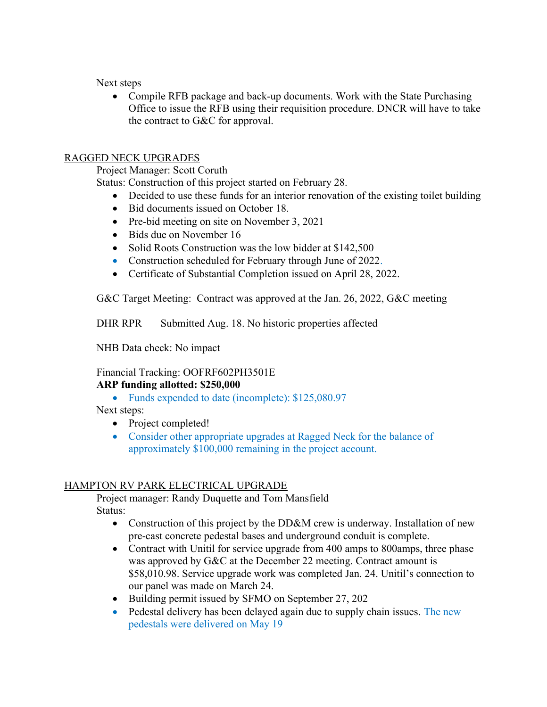Next steps

 Compile RFB package and back-up documents. Work with the State Purchasing Office to issue the RFB using their requisition procedure. DNCR will have to take the contract to G&C for approval.

## RAGGED NECK UPGRADES

Project Manager: Scott Coruth

Status: Construction of this project started on February 28.

- Decided to use these funds for an interior renovation of the existing toilet building
- Bid documents issued on October 18.
- Pre-bid meeting on site on November 3, 2021
- Bids due on November 16
- Solid Roots Construction was the low bidder at \$142,500
- Construction scheduled for February through June of 2022.
- Certificate of Substantial Completion issued on April 28, 2022.

G&C Target Meeting: Contract was approved at the Jan. 26, 2022, G&C meeting

DHR RPR Submitted Aug. 18. No historic properties affected

NHB Data check: No impact

#### Financial Tracking: OOFRF602PH3501E ARP funding allotted: \$250,000

- Funds expended to date (incomplete): \$125,080.97
- Next steps:
	- Project completed!
	- Consider other appropriate upgrades at Ragged Neck for the balance of approximately \$100,000 remaining in the project account.

## HAMPTON RV PARK ELECTRICAL UPGRADE

 Project manager: Randy Duquette and Tom Mansfield Status:

- Construction of this project by the DD&M crew is underway. Installation of new pre-cast concrete pedestal bases and underground conduit is complete.
- Contract with Unitil for service upgrade from 400 amps to 800 amps, three phase was approved by G&C at the December 22 meeting. Contract amount is \$58,010.98. Service upgrade work was completed Jan. 24. Unitil's connection to our panel was made on March 24.
- Building permit issued by SFMO on September 27, 202
- Pedestal delivery has been delayed again due to supply chain issues. The new pedestals were delivered on May 19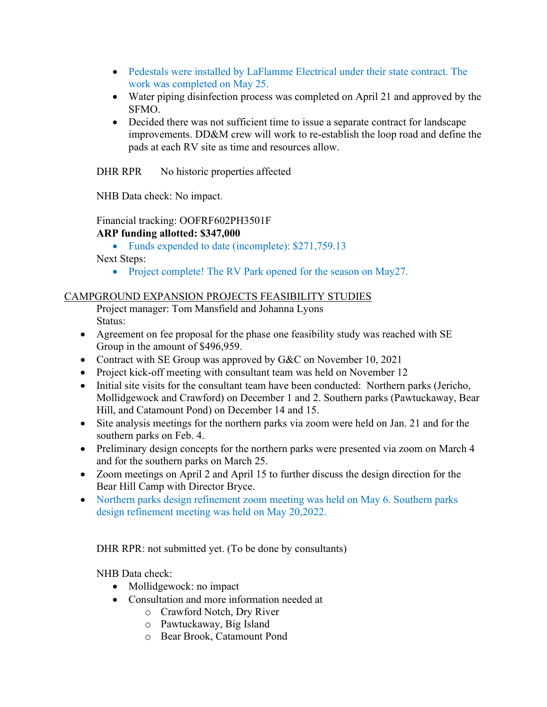- Pedestals were installed by LaFlamme Electrical under their state contract. The work was completed on May 25.
- Water piping disinfection process was completed on April 21 and approved by the SFMO.
- Decided there was not sufficient time to issue a separate contract for landscape improvements. DD&M crew will work to re-establish the loop road and define the pads at each RV site as time and resources allow.

DHR RPR No historic properties affected

NHB Data check: No impact.

## Financial tracking: OOFRF602PH3501F

## ARP funding allotted: \$347,000

• Funds expended to date (incomplete): \$271,759.13

Next Steps:

• Project complete! The RV Park opened for the season on May27.

## CAMPGROUND EXPANSION PROJECTS FEASIBILITY STUDIES

- Project manager: Tom Mansfield and Johanna Lyons Status:
- Agreement on fee proposal for the phase one feasibility study was reached with SE Group in the amount of \$496,959.
- Contract with SE Group was approved by G&C on November 10, 2021
- Project kick-off meeting with consultant team was held on November 12
- Initial site visits for the consultant team have been conducted: Northern parks (Jericho, Mollidgewock and Crawford) on December 1 and 2. Southern parks (Pawtuckaway, Bear Hill, and Catamount Pond) on December 14 and 15.
- Site analysis meetings for the northern parks via zoom were held on Jan. 21 and for the southern parks on Feb. 4.
- Preliminary design concepts for the northern parks were presented via zoom on March 4 and for the southern parks on March 25.
- Zoom meetings on April 2 and April 15 to further discuss the design direction for the Bear Hill Camp with Director Bryce.
- Northern parks design refinement zoom meeting was held on May 6. Southern parks design refinement meeting was held on May 20,2022.

DHR RPR: not submitted yet. (To be done by consultants)

NHB Data check:

- Mollidgewock: no impact
- Consultation and more information needed at
	- o Crawford Notch, Dry River
	- o Pawtuckaway, Big Island
	- o Bear Brook, Catamount Pond